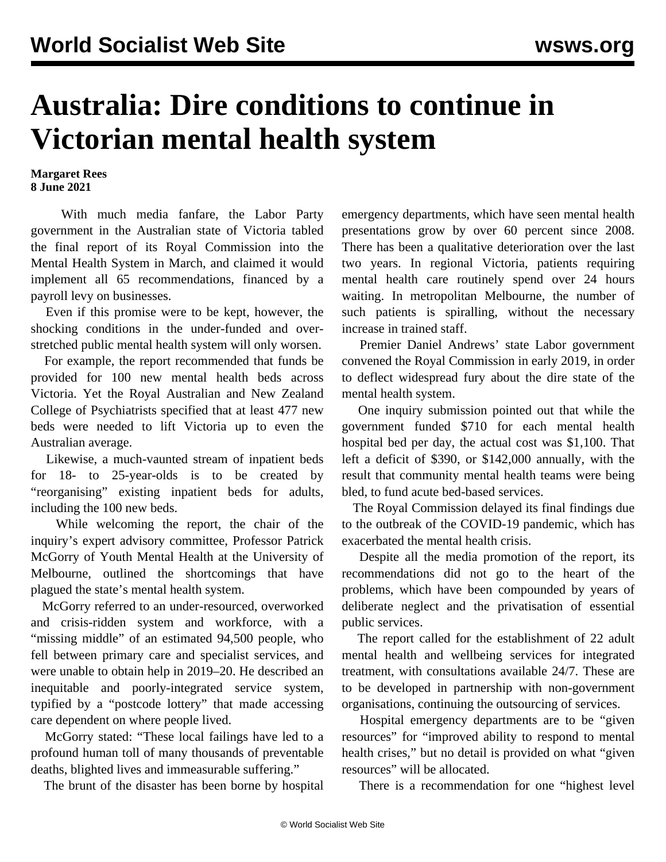## **Australia: Dire conditions to continue in Victorian mental health system**

## **Margaret Rees 8 June 2021**

 With much media fanfare, the Labor Party government in the Australian state of Victoria tabled the final report of its Royal Commission into the Mental Health System in March, and claimed it would implement all 65 recommendations, financed by a payroll levy on businesses.

 Even if this promise were to be kept, however, the shocking conditions in the under-funded and overstretched public mental health system will only worsen.

 For example, the report recommended that funds be provided for 100 new mental health beds across Victoria. Yet the Royal Australian and New Zealand College of Psychiatrists specified that at least 477 new beds were needed to lift Victoria up to even the Australian average.

 Likewise, a much-vaunted stream of inpatient beds for 18- to 25-year-olds is to be created by "reorganising" existing inpatient beds for adults, including the 100 new beds.

 While welcoming the report, the chair of the inquiry's expert advisory committee, Professor Patrick McGorry of Youth Mental Health at the University of Melbourne, outlined the shortcomings that have plagued the state's mental health system.

 McGorry referred to an under-resourced, overworked and crisis-ridden system and workforce, with a "missing middle" of an estimated 94,500 people, who fell between primary care and specialist services, and were unable to obtain help in 2019–20. He described an inequitable and poorly-integrated service system, typified by a "postcode lottery" that made accessing care dependent on where people lived.

 McGorry stated: "These local failings have led to a profound human toll of many thousands of preventable deaths, blighted lives and immeasurable suffering."

The brunt of the disaster has been borne by hospital

emergency departments, which have seen mental health presentations grow by over 60 percent since 2008. There has been a qualitative deterioration over the last two years. In regional Victoria, patients requiring mental health care routinely spend over 24 hours waiting. In metropolitan Melbourne, the number of such patients is spiralling, without the necessary increase in trained staff.

 Premier Daniel Andrews' state Labor government convened the Royal Commission in early 2019, in order to deflect widespread fury about the dire state of the mental health system.

 One inquiry submission pointed out that while the government funded \$710 for each mental health hospital bed per day, the actual cost was \$1,100. That left a deficit of \$390, or \$142,000 annually, with the result that community mental health teams were being bled, to fund acute bed-based services.

 The Royal Commission delayed its final findings due to the outbreak of the COVID-19 pandemic, which has exacerbated the mental health crisis.

 Despite all the media promotion of the report, its recommendations did not go to the heart of the problems, which have been compounded by years of deliberate neglect and the privatisation of essential public services.

 The report called for the establishment of 22 adult mental health and wellbeing services for integrated treatment, with consultations available 24/7. These are to be developed in partnership with non-government organisations, continuing the outsourcing of services.

 Hospital emergency departments are to be "given resources" for "improved ability to respond to mental health crises," but no detail is provided on what "given resources" will be allocated.

There is a recommendation for one "highest level